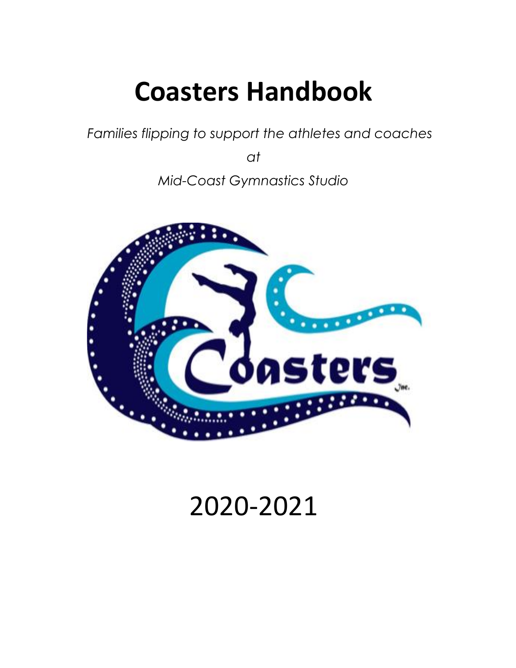# **Coasters Handbook**

*Families flipping to support the athletes and coaches* 

*at*

*Mid-Coast Gymnastics Studio*



## 2020-2021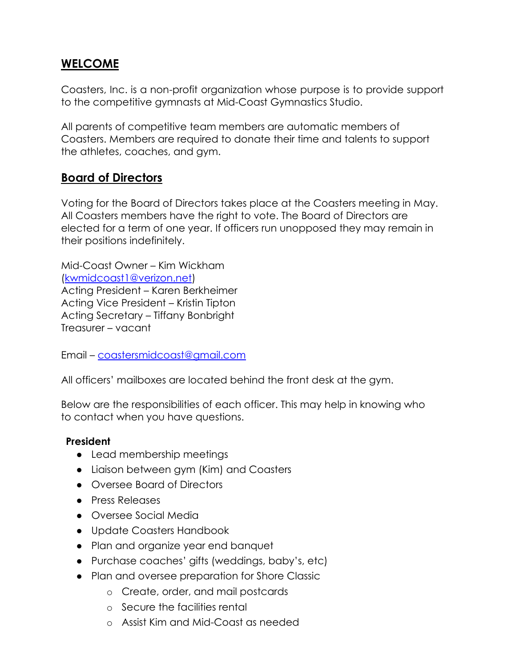#### **WELCOME**

Coasters, Inc. is a non-profit organization whose purpose is to provide support to the competitive gymnasts at Mid-Coast Gymnastics Studio.

All parents of competitive team members are automatic members of Coasters. Members are required to donate their time and talents to support the athletes, coaches, and gym.

#### **Board of Directors**

Voting for the Board of Directors takes place at the Coasters meeting in May. All Coasters members have the right to vote. The Board of Directors are elected for a term of one year. If officers run unopposed they may remain in their positions indefinitely.

Mid-Coast Owner – Kim Wickham (kwmidcoast1@verizon.net) Acting President – Karen Berkheimer Acting Vice President – Kristin Tipton Acting Secretary – Tiffany Bonbright Treasurer – vacant

Email – [coastersmidcoast@gmail.com](mailto:coastersmidcoast@gmail.com)

All officers' mailboxes are located behind the front desk at the gym.

Below are the responsibilities of each officer. This may help in knowing who to contact when you have questions.

#### **President**

- Lead membership meetings
- Liaison between gym (Kim) and Coasters
- Oversee Board of Directors
- Press Releases
- Oversee Social Media
- Update Coasters Handbook
- Plan and organize year end banquet
- Purchase coaches' gifts (weddings, baby's, etc)
- Plan and oversee preparation for Shore Classic
	- o Create, order, and mail postcards
	- o Secure the facilities rental
	- o Assist Kim and Mid-Coast as needed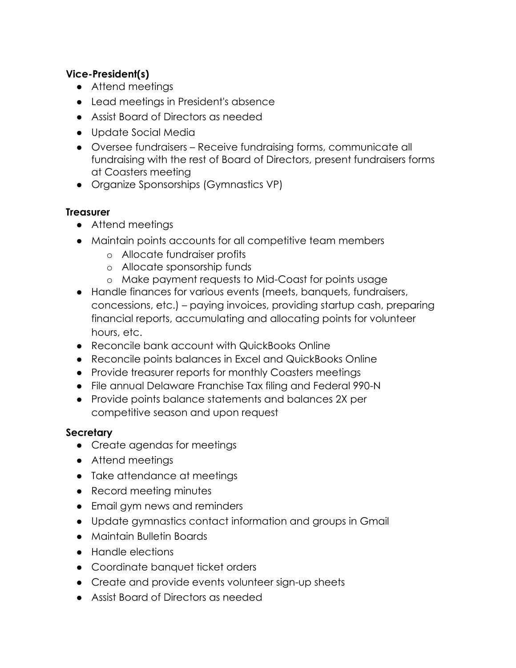#### **Vice-President(s)**

- Attend meetings
- Lead meetings in President's absence
- Assist Board of Directors as needed
- Update Social Media
- Oversee fundraisers Receive fundraising forms, communicate all fundraising with the rest of Board of Directors, present fundraisers forms at Coasters meeting
- Organize Sponsorships (Gymnastics VP)

#### **Treasurer**

- Attend meetings
- Maintain points accounts for all competitive team members
	- o Allocate fundraiser profits
	- o Allocate sponsorship funds
	- o Make payment requests to Mid-Coast for points usage
- Handle finances for various events (meets, banquets, fundraisers, concessions, etc.) – paying invoices, providing startup cash, preparing financial reports, accumulating and allocating points for volunteer hours, etc.
- Reconcile bank account with QuickBooks Online
- Reconcile points balances in Excel and QuickBooks Online
- Provide treasurer reports for monthly Coasters meetings
- File annual Delaware Franchise Tax filing and Federal 990-N
- Provide points balance statements and balances 2X per competitive season and upon request

#### **Secretary**

- Create agendas for meetings
- Attend meetings
- Take attendance at meetings
- Record meeting minutes
- Email gym news and reminders
- Update gymnastics contact information and groups in Gmail
- Maintain Bulletin Boards
- Handle elections
- Coordinate banquet ticket orders
- Create and provide events volunteer sign-up sheets
- Assist Board of Directors as needed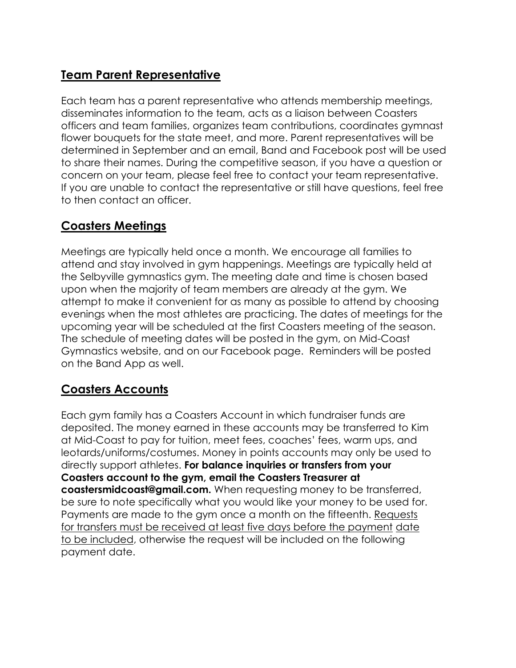## **Team Parent Representative**

Each team has a parent representative who attends membership meetings, disseminates information to the team, acts as a liaison between Coasters officers and team families, organizes team contributions, coordinates gymnast flower bouquets for the state meet, and more. Parent representatives will be determined in September and an email, Band and Facebook post will be used to share their names. During the competitive season, if you have a question or concern on your team, please feel free to contact your team representative. If you are unable to contact the representative or still have questions, feel free to then contact an officer.

## **Coasters Meetings**

Meetings are typically held once a month. We encourage all families to attend and stay involved in gym happenings. Meetings are typically held at the Selbyville gymnastics gym. The meeting date and time is chosen based upon when the majority of team members are already at the gym. We attempt to make it convenient for as many as possible to attend by choosing evenings when the most athletes are practicing. The dates of meetings for the upcoming year will be scheduled at the first Coasters meeting of the season. The schedule of meeting dates will be posted in the gym, on Mid-Coast Gymnastics website, and on our Facebook page. Reminders will be posted on the Band App as well.

#### **Coasters Accounts**

Each gym family has a Coasters Account in which fundraiser funds are deposited. The money earned in these accounts may be transferred to Kim at Mid-Coast to pay for tuition, meet fees, coaches' fees, warm ups, and leotards/uniforms/costumes. Money in points accounts may only be used to directly support athletes. **For balance inquiries or transfers from your Coasters account to the gym, email the Coasters Treasurer at [coastersmidcoast@gmail.com.](mailto:coastersmidcoast@gmail.com)** When requesting money to be transferred, be sure to note specifically what you would like your money to be used for. Payments are made to the gym once a month on the fifteenth. Requests for transfers must be received at least five days before the payment date to be included, otherwise the request will be included on the following payment date.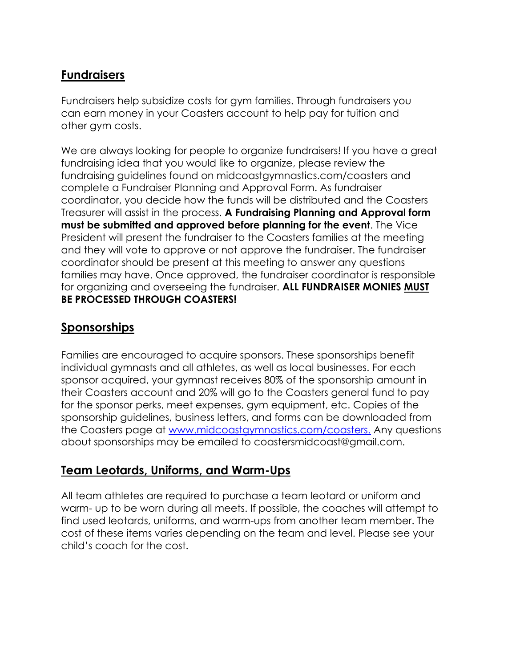#### **Fundraisers**

Fundraisers help subsidize costs for gym families. Through fundraisers you can earn money in your Coasters account to help pay for tuition and other gym costs.

We are always looking for people to organize fundraisers! If you have a great fundraising idea that you would like to organize, please review the fundraising guidelines found on midcoastgymnastics.com/coasters and complete a Fundraiser Planning and Approval Form. As fundraiser coordinator, you decide how the funds will be distributed and the Coasters Treasurer will assist in the process. **A Fundraising Planning and Approval form must be submitted and approved before planning for the event**. The Vice President will present the fundraiser to the Coasters families at the meeting and they will vote to approve or not approve the fundraiser. The fundraiser coordinator should be present at this meeting to answer any questions families may have. Once approved, the fundraiser coordinator is responsible for organizing and overseeing the fundraiser. **ALL FUNDRAISER MONIES MUST BE PROCESSED THROUGH COASTERS!**

#### **Sponsorships**

Families are encouraged to acquire sponsors. These sponsorships benefit individual gymnasts and all athletes, as well as local businesses. For each sponsor acquired, your gymnast receives 80% of the sponsorship amount in their Coasters account and 20% will go to the Coasters general fund to pay for the sponsor perks, meet expenses, gym equipment, etc. Copies of the sponsorship guidelines, business letters, and forms can be downloaded from the Coasters page at [www.midcoastgymnastics.com/coasters.](http://www.midcoastgymnastics.com/coasters) [A](http://www.midcoastgymnastics.com/coasters)ny questions about sponsorships may be emailed to [coastersmidcoast@gmail.com.](mailto:coastersmidcoast@gmail.com)

#### **Team Leotards, Uniforms, and Warm-Ups**

All team athletes are required to purchase a team leotard or uniform and warm- up to be worn during all meets. If possible, the coaches will attempt to find used leotards, uniforms, and warm-ups from another team member. The cost of these items varies depending on the team and level. Please see your child's coach for the cost.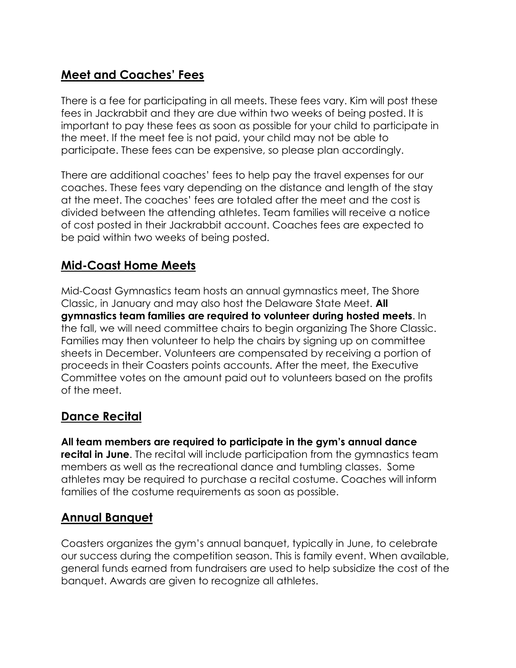## **Meet and Coaches' Fees**

There is a fee for participating in all meets. These fees vary. Kim will post these fees in Jackrabbit and they are due within two weeks of being posted. It is important to pay these fees as soon as possible for your child to participate in the meet. If the meet fee is not paid, your child may not be able to participate. These fees can be expensive, so please plan accordingly.

There are additional coaches' fees to help pay the travel expenses for our coaches. These fees vary depending on the distance and length of the stay at the meet. The coaches' fees are totaled after the meet and the cost is divided between the attending athletes. Team families will receive a notice of cost posted in their Jackrabbit account. Coaches fees are expected to be paid within two weeks of being posted.

#### **Mid-Coast Home Meets**

Mid-Coast Gymnastics team hosts an annual gymnastics meet, The Shore Classic, in January and may also host the Delaware State Meet. **All gymnastics team families are required to volunteer during hosted meets**. In the fall, we will need committee chairs to begin organizing The Shore Classic. Families may then volunteer to help the chairs by signing up on committee sheets in December. Volunteers are compensated by receiving a portion of proceeds in their Coasters points accounts. After the meet, the Executive Committee votes on the amount paid out to volunteers based on the profits of the meet.

#### **Dance Recital**

**All team members are required to participate in the gym's annual dance recital in June**. The recital will include participation from the gymnastics team members as well as the recreational dance and tumbling classes. Some athletes may be required to purchase a recital costume. Coaches will inform families of the costume requirements as soon as possible.

#### **Annual Banquet**

Coasters organizes the gym's annual banquet, typically in June, to celebrate our success during the competition season. This is family event. When available, general funds earned from fundraisers are used to help subsidize the cost of the banquet. Awards are given to recognize all athletes.